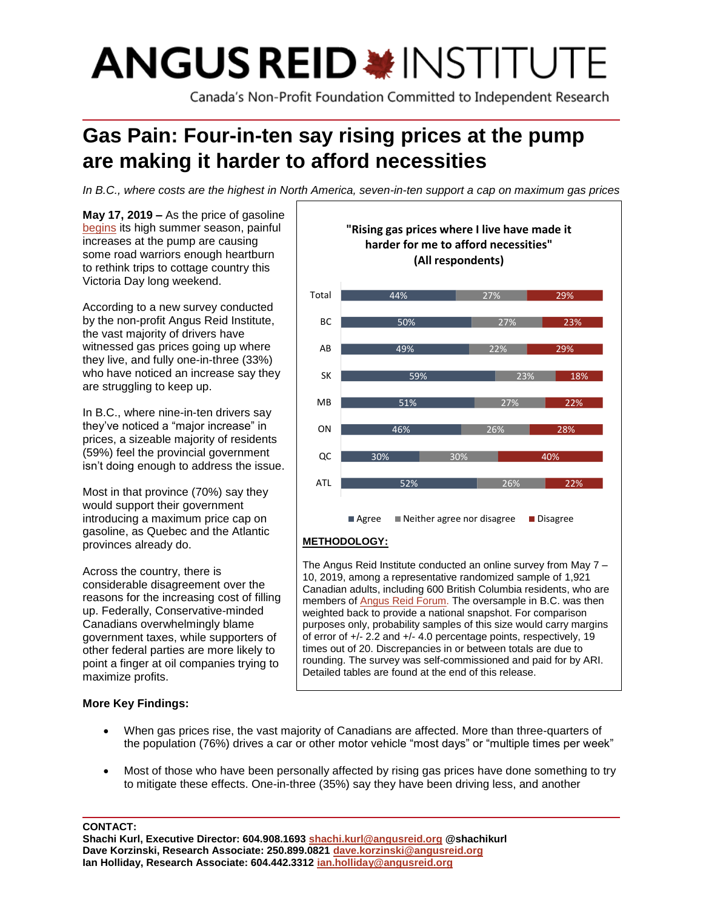# **ANGUS REID \*INSTITUTE**

Canada's Non-Profit Foundation Committed to Independent Research

# **Gas Pain: Four-in-ten say rising prices at the pump are making it harder to afford necessities**

*In B.C., where costs are the highest in North America, seven-in-ten support a cap on maximum gas prices*

**May 17, 2019 –** As the price of gasoline [begins](https://www.theglobeandmail.com/canada/article-vancouver-sky-high-gas-prices-eclipse-all-other-markets-neb/) its high summer season, painful increases at the pump are causing some road warriors enough heartburn to rethink trips to cottage country this Victoria Day long weekend.

According to a new survey conducted by the non-profit Angus Reid Institute, the vast majority of drivers have witnessed gas prices going up where they live, and fully one-in-three (33%) who have noticed an increase say they are struggling to keep up.

In B.C., where nine-in-ten drivers say they've noticed a "major increase" in prices, a sizeable majority of residents (59%) feel the provincial government isn't doing enough to address the issue.

Most in that province (70%) say they would support their government introducing a maximum price cap on gasoline, as Quebec and the Atlantic provinces already do.

Across the country, there is considerable disagreement over the reasons for the increasing cost of filling up. Federally, Conservative-minded Canadians overwhelmingly blame government taxes, while supporters of other federal parties are more likely to point a finger at oil companies trying to maximize profits.

# **More Key Findings:**



The Angus Reid Institute conducted an online survey from May 7 – 10, 2019, among a representative randomized sample of 1,921 Canadian adults, including 600 British Columbia residents, who are members of **Angus Reid Forum.** The oversample in B.C. was then weighted back to provide a national snapshot. For comparison purposes only, probability samples of this size would carry margins of error of +/- 2.2 and +/- 4.0 percentage points, respectively, 19 times out of 20. Discrepancies in or between totals are due to rounding. The survey was self-commissioned and paid for by ARI. Detailed tables are found at the end of this release.

- When gas prices rise, the vast majority of Canadians are affected. More than three-quarters of the population (76%) drives a car or other motor vehicle "most days" or "multiple times per week"
- Most of those who have been personally affected by rising gas prices have done something to try to mitigate these effects. One-in-three (35%) say they have been driving less, and another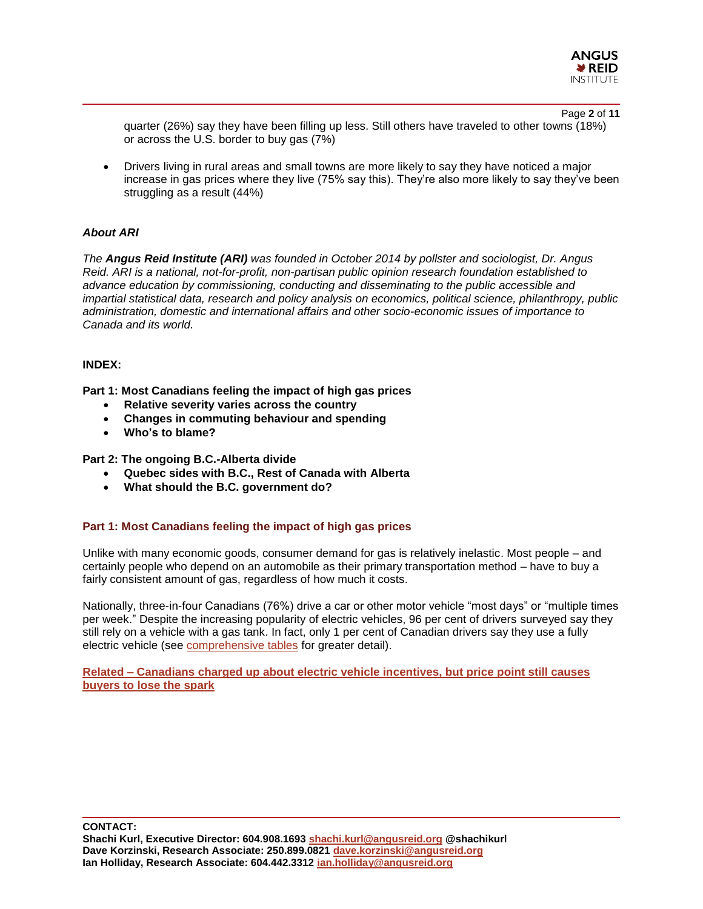

Page **2** of **11** quarter (26%) say they have been filling up less. Still others have traveled to other towns (18%) or across the U.S. border to buy gas (7%)

• Drivers living in rural areas and small towns are more likely to say they have noticed a major increase in gas prices where they live (75% say this). They're also more likely to say they've been struggling as a result (44%)

#### *About ARI*

*The Angus Reid Institute (ARI) was founded in October 2014 by pollster and sociologist, Dr. Angus Reid. ARI is a national, not-for-profit, non-partisan public opinion research foundation established to advance education by commissioning, conducting and disseminating to the public accessible and impartial statistical data, research and policy analysis on economics, political science, philanthropy, public administration, domestic and international affairs and other socio-economic issues of importance to Canada and its world.*

#### **INDEX:**

**Part 1: Most Canadians feeling the impact of high gas prices**

- **Relative severity varies across the country**
- **Changes in commuting behaviour and spending**
- **Who's to blame?**

**Part 2: The ongoing B.C.-Alberta divide**

- **Quebec sides with B.C., Rest of Canada with Alberta**
- **What should the B.C. government do?**

#### **Part 1: Most Canadians feeling the impact of high gas prices**

Unlike with many economic goods, consumer demand for gas is relatively inelastic. Most people – and certainly people who depend on an automobile as their primary transportation method – have to buy a fairly consistent amount of gas, regardless of how much it costs.

Nationally, three-in-four Canadians (76%) drive a car or other motor vehicle "most days" or "multiple times per week." Despite the increasing popularity of electric vehicles, 96 per cent of drivers surveyed say they still rely on a vehicle with a gas tank. In fact, only 1 per cent of Canadian drivers say they use a fully electric vehicle (see [comprehensive tables](http://angusreid.org/wp-content/uploads/2019/05/2019.05.16_Gas-Prices_Demo-Release-Tables.pdf) for greater detail).

**Related – Canadians [charged up about electric vehicle incentives, but price point still causes](http://angusreid.org/electric-vehicles/)  [buyers to lose the spark](http://angusreid.org/electric-vehicles/)**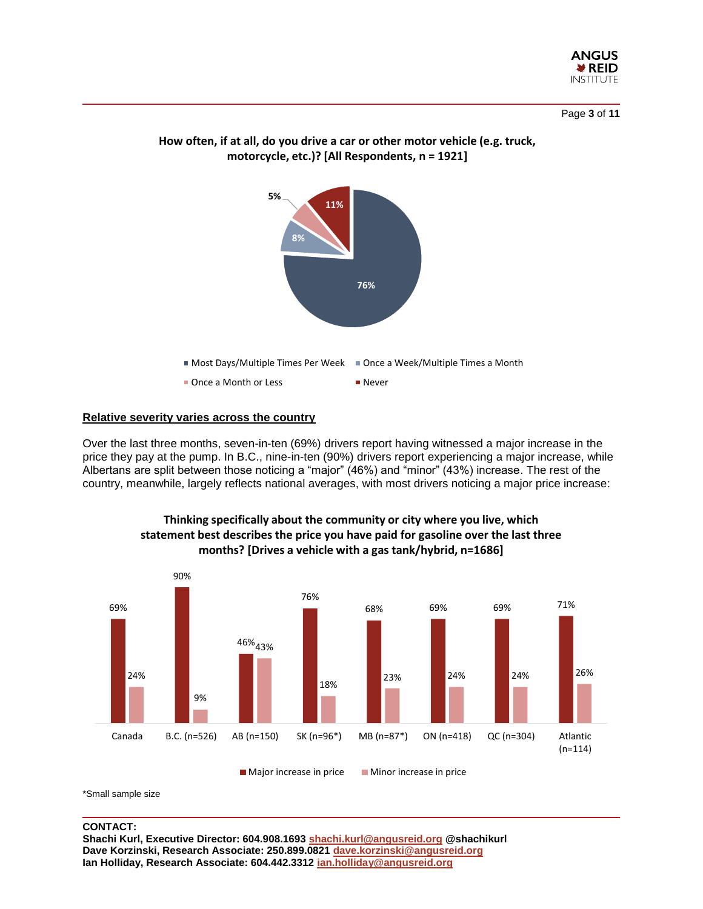

Page **3** of **11**



### **How often, if at all, do you drive a car or other motor vehicle (e.g. truck, motorcycle, etc.)? [All Respondents, n = 1921]**

#### **Relative severity varies across the country**

Over the last three months, seven-in-ten (69%) drivers report having witnessed a major increase in the price they pay at the pump. In B.C., nine-in-ten (90%) drivers report experiencing a major increase, while Albertans are split between those noticing a "major" (46%) and "minor" (43%) increase. The rest of the country, meanwhile, largely reflects national averages, with most drivers noticing a major price increase:



#### **Thinking specifically about the community or city where you live, which statement best describes the price you have paid for gasoline over the last three months? [Drives a vehicle with a gas tank/hybrid, n=1686]**

\*Small sample size

#### **CONTACT:**

**Shachi Kurl, Executive Director: 604.908.1693 [shachi.kurl@angusreid.org](mailto:shachi.kurl@angusreid.org) @shachikurl Dave Korzinski, Research Associate: 250.899.0821 [dave.korzinski@angusreid.org](mailto:dave.korzinski@angusreid.org) Ian Holliday, Research Associate: 604.442.3312 [ian.holliday@angusreid.org](mailto:ian.holliday@angusreid.org)**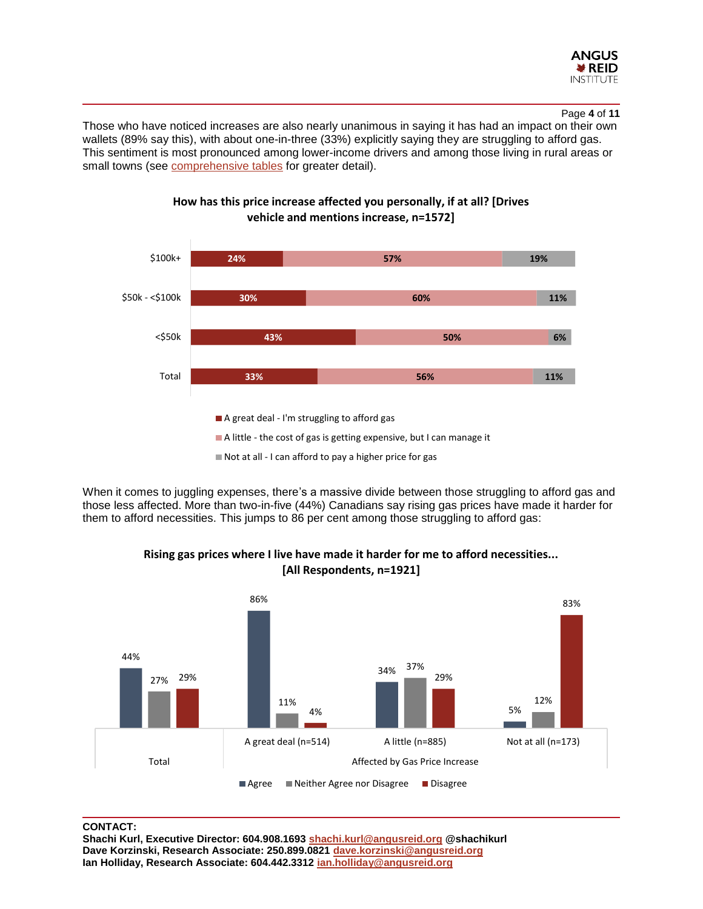

#### Page **4** of **11**

Those who have noticed increases are also nearly unanimous in saying it has had an impact on their own wallets (89% say this), with about one-in-three (33%) explicitly saying they are struggling to afford gas. This sentiment is most pronounced among lower-income drivers and among those living in rural areas or small towns (see [comprehensive tables](http://angusreid.org/wp-content/uploads/2019/05/2019.05.16_Gas-Prices_Demo-Release-Tables.pdf) for greater detail).



**How has this price increase affected you personally, if at all? [Drives vehicle and mentions increase, n=1572]**

Not at all - I can afford to pay a higher price for gas

When it comes to juggling expenses, there's a massive divide between those struggling to afford gas and those less affected. More than two-in-five (44%) Canadians say rising gas prices have made it harder for them to afford necessities. This jumps to 86 per cent among those struggling to afford gas:



**Rising gas prices where I live have made it harder for me to afford necessities... [All Respondents, n=1921]** 

#### **CONTACT:**

**Shachi Kurl, Executive Director: 604.908.1693 [shachi.kurl@angusreid.org](mailto:shachi.kurl@angusreid.org) @shachikurl Dave Korzinski, Research Associate: 250.899.0821 [dave.korzinski@angusreid.org](mailto:dave.korzinski@angusreid.org) Ian Holliday, Research Associate: 604.442.3312 [ian.holliday@angusreid.org](mailto:ian.holliday@angusreid.org)**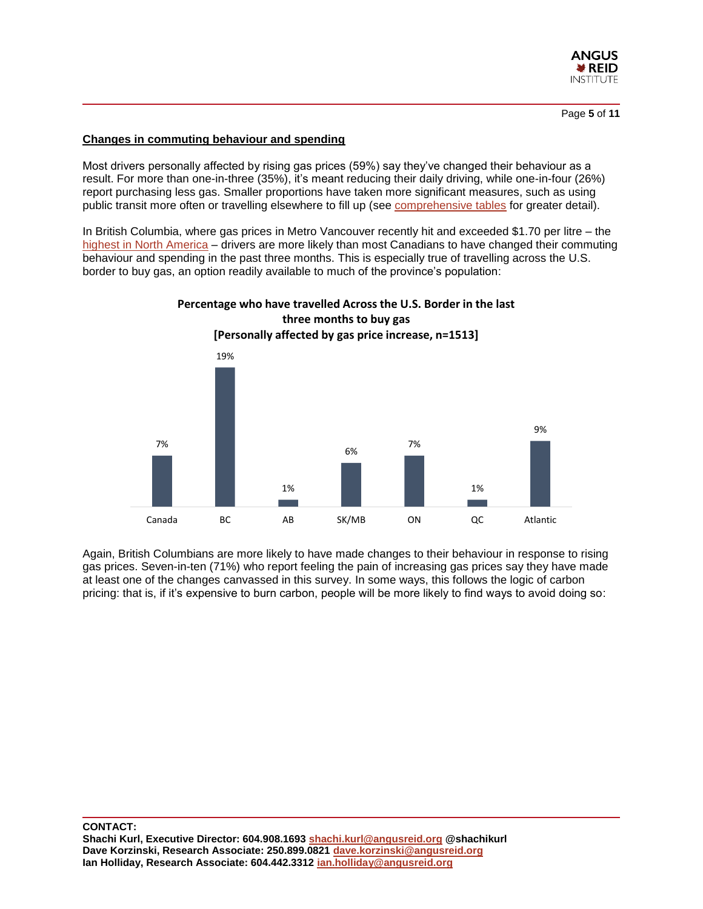

Page **5** of **11**

#### **Changes in commuting behaviour and spending**

Most drivers personally affected by rising gas prices (59%) say they've changed their behaviour as a result. For more than one-in-three (35%), it's meant reducing their daily driving, while one-in-four (26%) report purchasing less gas. Smaller proportions have taken more significant measures, such as using public transit more often or travelling elsewhere to fill up (see [comprehensive tables](http://angusreid.org/wp-content/uploads/2019/05/2019.05.16_Gas-Prices_Demo-Release-Tables.pdf) for greater detail).

In British Columbia, where gas prices in Metro Vancouver recently hit and exceeded \$1.70 per litre – the [highest in North America](https://vancouversun.com/news/local-news/record-high-gas-prices-not-leaving-a-lot-of-consumer-love-left-for-stations) – drivers are more likely than most Canadians to have changed their commuting behaviour and spending in the past three months. This is especially true of travelling across the U.S. border to buy gas, an option readily available to much of the province's population:



Again, British Columbians are more likely to have made changes to their behaviour in response to rising gas prices. Seven-in-ten (71%) who report feeling the pain of increasing gas prices say they have made at least one of the changes canvassed in this survey. In some ways, this follows the logic of carbon pricing: that is, if it's expensive to burn carbon, people will be more likely to find ways to avoid doing so: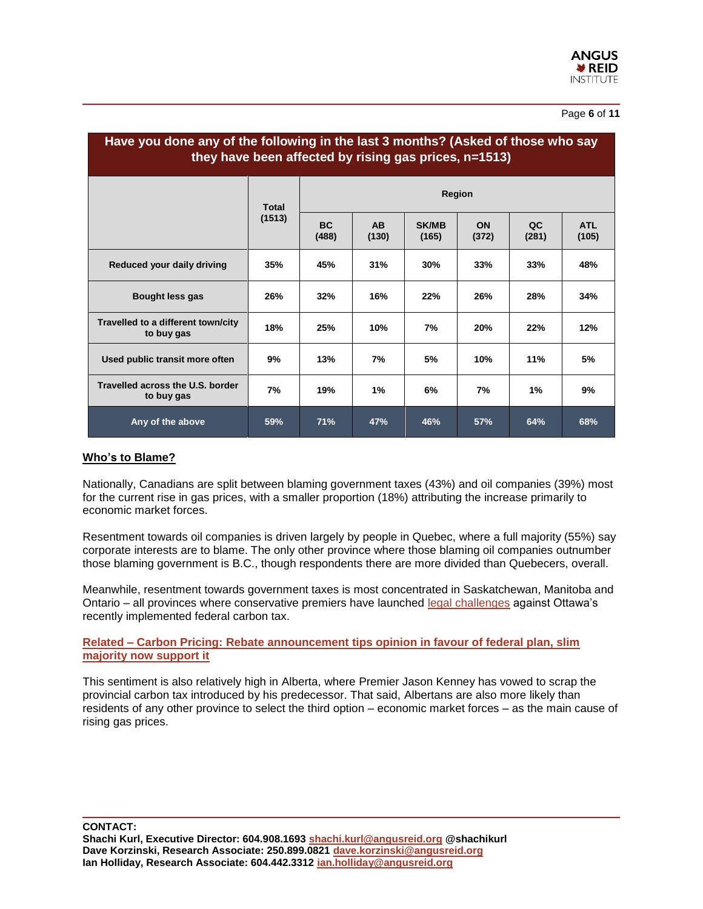#### Page **6** of **11**

| Have you done any of the following in the last 3 months? (Asked of those who say<br>they have been affected by rising gas prices, n=1513) |                        |                    |                    |                       |             |             |                     |  |  |  |  |  |
|-------------------------------------------------------------------------------------------------------------------------------------------|------------------------|--------------------|--------------------|-----------------------|-------------|-------------|---------------------|--|--|--|--|--|
|                                                                                                                                           | <b>Total</b><br>(1513) | Region             |                    |                       |             |             |                     |  |  |  |  |  |
|                                                                                                                                           |                        | <b>BC</b><br>(488) | <b>AB</b><br>(130) | <b>SK/MB</b><br>(165) | ON<br>(372) | QC<br>(281) | <b>ATL</b><br>(105) |  |  |  |  |  |
| Reduced your daily driving                                                                                                                | 35%                    | 45%                | 31%                | 30%                   | 33%         | 33%         | 48%                 |  |  |  |  |  |
| Bought less gas                                                                                                                           | 26%                    | 32%                | 16%                | 22%                   | 26%         | 28%         | 34%                 |  |  |  |  |  |
| Travelled to a different town/city<br>to buy gas                                                                                          | 18%                    | 25%                | 10%                | 7%                    | 20%         | 22%         | 12%                 |  |  |  |  |  |
| Used public transit more often                                                                                                            | 9%                     | 13%                | 7%                 | 5%                    | 10%         | 11%         | 5%                  |  |  |  |  |  |
| Travelled across the U.S. border<br>to buy gas                                                                                            | 7%                     | 19%                | 1%                 | 6%                    | 7%          | 1%          | 9%                  |  |  |  |  |  |
| Any of the above                                                                                                                          | 59%                    | 71%                | 47%                | 46%                   | 57%         | 64%         | 68%                 |  |  |  |  |  |

#### **Who's to Blame?**

Nationally, Canadians are split between blaming government taxes (43%) and oil companies (39%) most for the current rise in gas prices, with a smaller proportion (18%) attributing the increase primarily to economic market forces.

Resentment towards oil companies is driven largely by people in Quebec, where a full majority (55%) say corporate interests are to blame. The only other province where those blaming oil companies outnumber those blaming government is B.C., though respondents there are more divided than Quebecers, overall.

Meanwhile, resentment towards government taxes is most concentrated in Saskatchewan, Manitoba and Ontario – all provinces where conservative premiers have launched [legal challenges](https://www.cbc.ca/news/canada/manitoba/manitoba-carbon-tax-court-challenge-1.5083170) against Ottawa's recently implemented federal carbon tax.

**Related – [Carbon Pricing: Rebate announcement tips opinion in favour of federal plan, slim](http://angusreid.org/carbon-pricing-rebate/)  [majority now support it](http://angusreid.org/carbon-pricing-rebate/)**

This sentiment is also relatively high in Alberta, where Premier Jason Kenney has vowed to scrap the provincial carbon tax introduced by his predecessor. That said, Albertans are also more likely than residents of any other province to select the third option – economic market forces – as the main cause of rising gas prices.

**CONTACT:**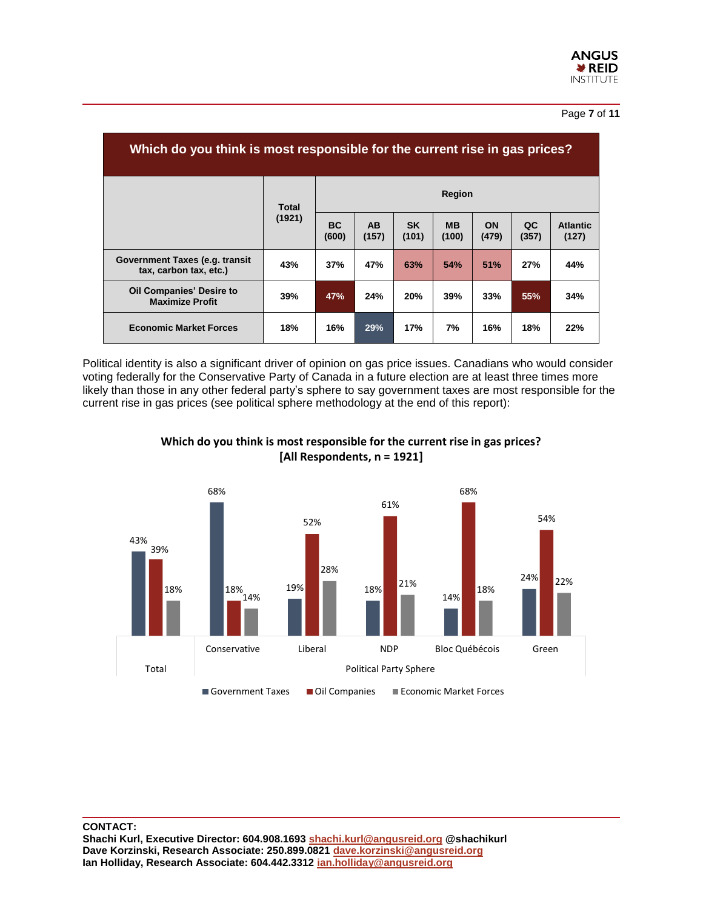#### Page **7** of **11**

| Which do you think is most responsible for the current rise in gas prices? |                 |                    |                    |                    |                    |                    |             |                          |  |  |  |  |
|----------------------------------------------------------------------------|-----------------|--------------------|--------------------|--------------------|--------------------|--------------------|-------------|--------------------------|--|--|--|--|
|                                                                            | Total<br>(1921) | Region             |                    |                    |                    |                    |             |                          |  |  |  |  |
|                                                                            |                 | <b>BC</b><br>(600) | <b>AB</b><br>(157) | <b>SK</b><br>(101) | <b>MB</b><br>(100) | <b>ON</b><br>(479) | QC<br>(357) | <b>Atlantic</b><br>(127) |  |  |  |  |
| Government Taxes (e.g. transit<br>tax, carbon tax, etc.)                   | 43%             | 37%                | 47%                | 63%                | 54%                | 51%                | 27%         | 44%                      |  |  |  |  |
| <b>Oil Companies' Desire to</b><br><b>Maximize Profit</b>                  | 39%             | 47%                | 24%                | 20%                | 39%                | 33%                | 55%         | 34%                      |  |  |  |  |
| <b>Economic Market Forces</b>                                              | 18%             | 16%                | 29%                | 17%                | 7%                 | 16%                | 18%         | 22%                      |  |  |  |  |

Political identity is also a significant driver of opinion on gas price issues. Canadians who would consider voting federally for the Conservative Party of Canada in a future election are at least three times more likely than those in any other federal party's sphere to say government taxes are most responsible for the current rise in gas prices (see political sphere methodology at the end of this report):



**Which do you think is most responsible for the current rise in gas prices? [All Respondents, n = 1921]**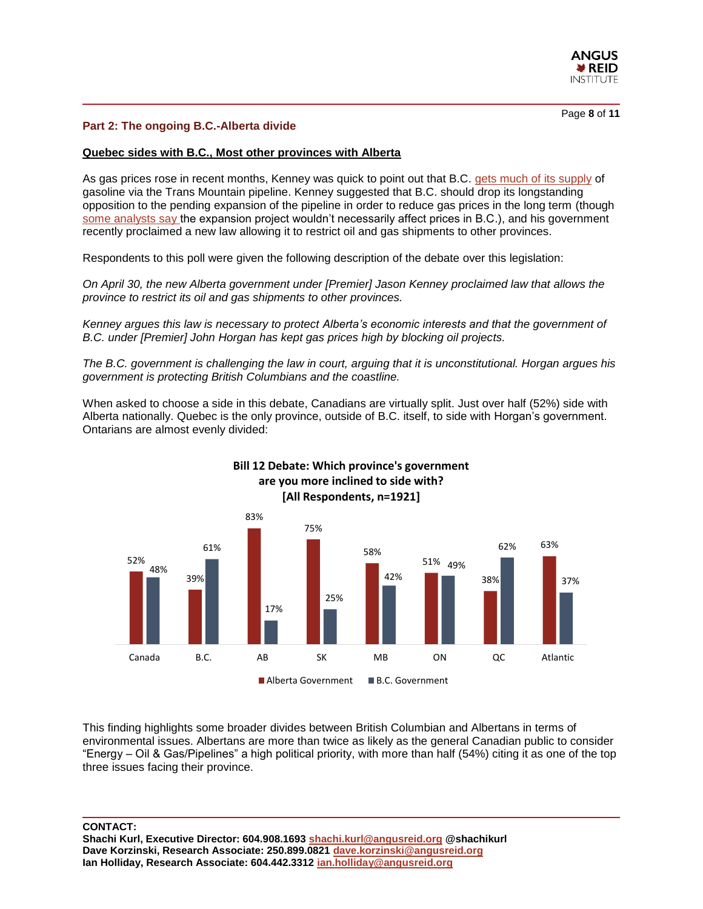

#### **Part 2: The ongoing B.C.-Alberta divide**

#### **Quebec sides with B.C., Most other provinces with Alberta**

As gas prices rose in recent months, Kenney was quick to point out that B.C. [gets much of its supply](https://bc.ctvnews.ca/you-are-being-sued-b-c-taking-alberta-to-court-over-law-that-could-cut-gas-exports-1.4403294) of gasoline via the Trans Mountain pipeline. Kenney suggested that B.C. should drop its longstanding opposition to the pending expansion of the pipeline in order to reduce gas prices in the long term (though [some analysts say t](https://www.theglobeandmail.com/canada/article-no-guarantee-trans-mountain-pipeline-will-relieve-bc-gas-prices/)he expansion project wouldn't necessarily affect prices in B.C.), and his government recently proclaimed a new law allowing it to restrict oil and gas shipments to other provinces.

Respondents to this poll were given the following description of the debate over this legislation:

*On April 30, the new Alberta government under [Premier] Jason Kenney proclaimed law that allows the province to restrict its oil and gas shipments to other provinces.* 

*Kenney argues this law is necessary to protect Alberta's economic interests and that the government of B.C. under [Premier] John Horgan has kept gas prices high by blocking oil projects.*

*The B.C. government is challenging the law in court, arguing that it is unconstitutional. Horgan argues his government is protecting British Columbians and the coastline.* 

When asked to choose a side in this debate, Canadians are virtually split. Just over half (52%) side with Alberta nationally. Quebec is the only province, outside of B.C. itself, to side with Horgan's government. Ontarians are almost evenly divided:



This finding highlights some broader divides between British Columbian and Albertans in terms of environmental issues. Albertans are more than twice as likely as the general Canadian public to consider "Energy – Oil & Gas/Pipelines" a high political priority, with more than half (54%) citing it as one of the top three issues facing their province.

#### **CONTACT:**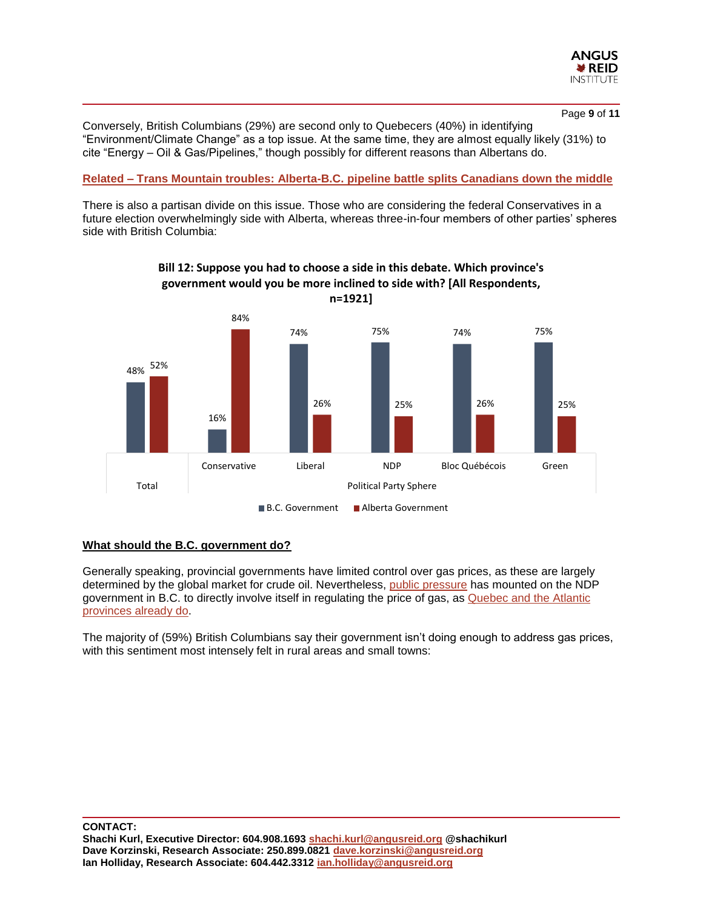

Page **9** of **11**

Conversely, British Columbians (29%) are second only to Quebecers (40%) in identifying "Environment/Climate Change" as a top issue. At the same time, they are almost equally likely (31%) to cite "Energy – Oil & Gas/Pipelines," though possibly for different reasons than Albertans do.

#### **Related – Trans [Mountain troubles: Alberta-B.C. pipeline battle splits Canadians down the middle](http://angusreid.org/alberta-bc-transmountain-dispute/)**

There is also a partisan divide on this issue. Those who are considering the federal Conservatives in a future election overwhelmingly side with Alberta, whereas three-in-four members of other parties' spheres side with British Columbia:



# **Bill 12: Suppose you had to choose a side in this debate. Which province's government would you be more inclined to side with? [All Respondents,**

#### **What should the B.C. government do?**

Generally speaking, provincial governments have limited control over gas prices, as these are largely determined by the global market for crude oil. Nevertheless, [public pressure](https://www.cbc.ca/news/canada/british-columbia/unclear-what-solutions-could-come-from-gas-price-inquiry-1.5128519) has mounted on the NDP government in B.C. to directly involve itself in regulating the price of gas, as [Quebec and the Atlantic](https://www.consumerscouncil.com/index.cfm?id=13904) [provinces already do.](https://www.consumerscouncil.com/index.cfm?id=13904) 

The majority of (59%) British Columbians say their government isn't doing enough to address gas prices, with this sentiment most intensely felt in rural areas and small towns: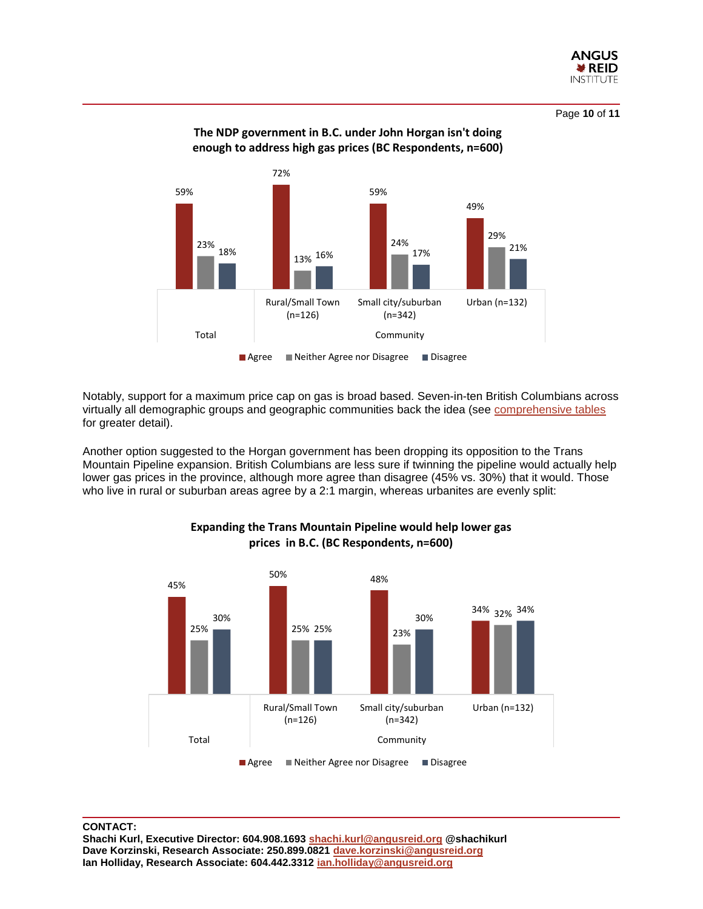

Page **10** of **11**





■ Agree Neither Agree nor Disagree Disagree

Notably, support for a maximum price cap on gas is broad based. Seven-in-ten British Columbians across virtually all demographic groups and geographic communities back the idea (see [comprehensive tables](http://angusreid.org/wp-content/uploads/2019/05/2019.05.16_Gas-Prices_Demo-Release-Tables.pdf) for greater detail).

Another option suggested to the Horgan government has been dropping its opposition to the Trans Mountain Pipeline expansion. British Columbians are less sure if twinning the pipeline would actually help lower gas prices in the province, although more agree than disagree (45% vs. 30%) that it would. Those who live in rural or suburban areas agree by a 2:1 margin, whereas urbanites are evenly split:



#### **Expanding the Trans Mountain Pipeline would help lower gas prices in B.C. (BC Respondents, n=600)**